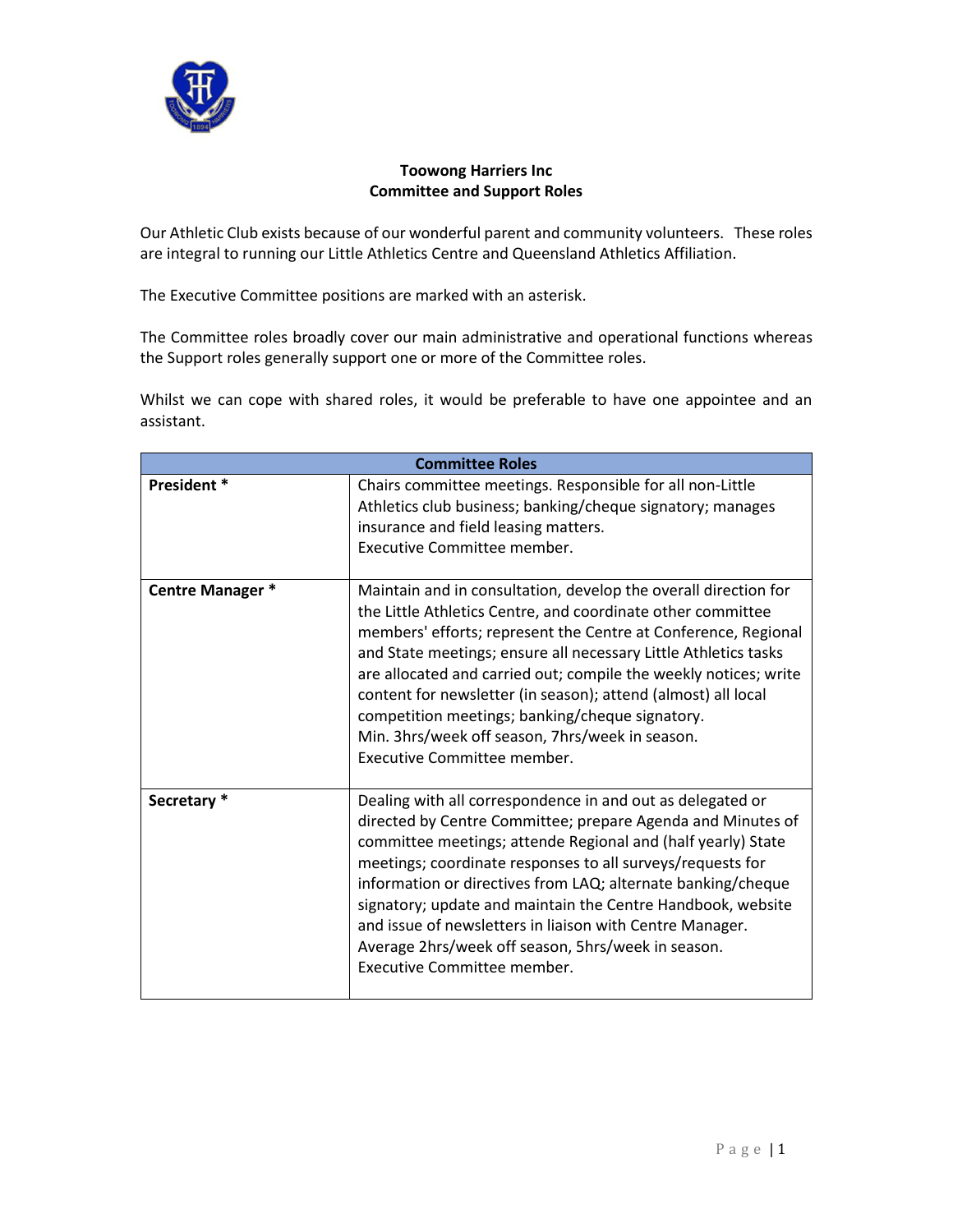

## **Toowong Harriers Inc Committee and Support Roles**

Our Athletic Club exists because of our wonderful parent and community volunteers. These roles are integral to running our Little Athletics Centre and Queensland Athletics Affiliation.

The Executive Committee positions are marked with an asterisk.

The Committee roles broadly cover our main administrative and operational functions whereas the Support roles generally support one or more of the Committee roles.

Whilst we can cope with shared roles, it would be preferable to have one appointee and an assistant.

| <b>Committee Roles</b> |                                                                                                                                                                                                                                                                                                                                                                                                                                                                                                                                               |  |
|------------------------|-----------------------------------------------------------------------------------------------------------------------------------------------------------------------------------------------------------------------------------------------------------------------------------------------------------------------------------------------------------------------------------------------------------------------------------------------------------------------------------------------------------------------------------------------|--|
| President *            | Chairs committee meetings. Responsible for all non-Little<br>Athletics club business; banking/cheque signatory; manages<br>insurance and field leasing matters.<br>Executive Committee member.                                                                                                                                                                                                                                                                                                                                                |  |
| Centre Manager *       | Maintain and in consultation, develop the overall direction for<br>the Little Athletics Centre, and coordinate other committee<br>members' efforts; represent the Centre at Conference, Regional<br>and State meetings; ensure all necessary Little Athletics tasks<br>are allocated and carried out; compile the weekly notices; write<br>content for newsletter (in season); attend (almost) all local<br>competition meetings; banking/cheque signatory.<br>Min. 3hrs/week off season, 7hrs/week in season.<br>Executive Committee member. |  |
| Secretary *            | Dealing with all correspondence in and out as delegated or<br>directed by Centre Committee; prepare Agenda and Minutes of<br>committee meetings; attende Regional and (half yearly) State<br>meetings; coordinate responses to all surveys/requests for<br>information or directives from LAQ; alternate banking/cheque<br>signatory; update and maintain the Centre Handbook, website<br>and issue of newsletters in liaison with Centre Manager.<br>Average 2hrs/week off season, 5hrs/week in season.<br>Executive Committee member.       |  |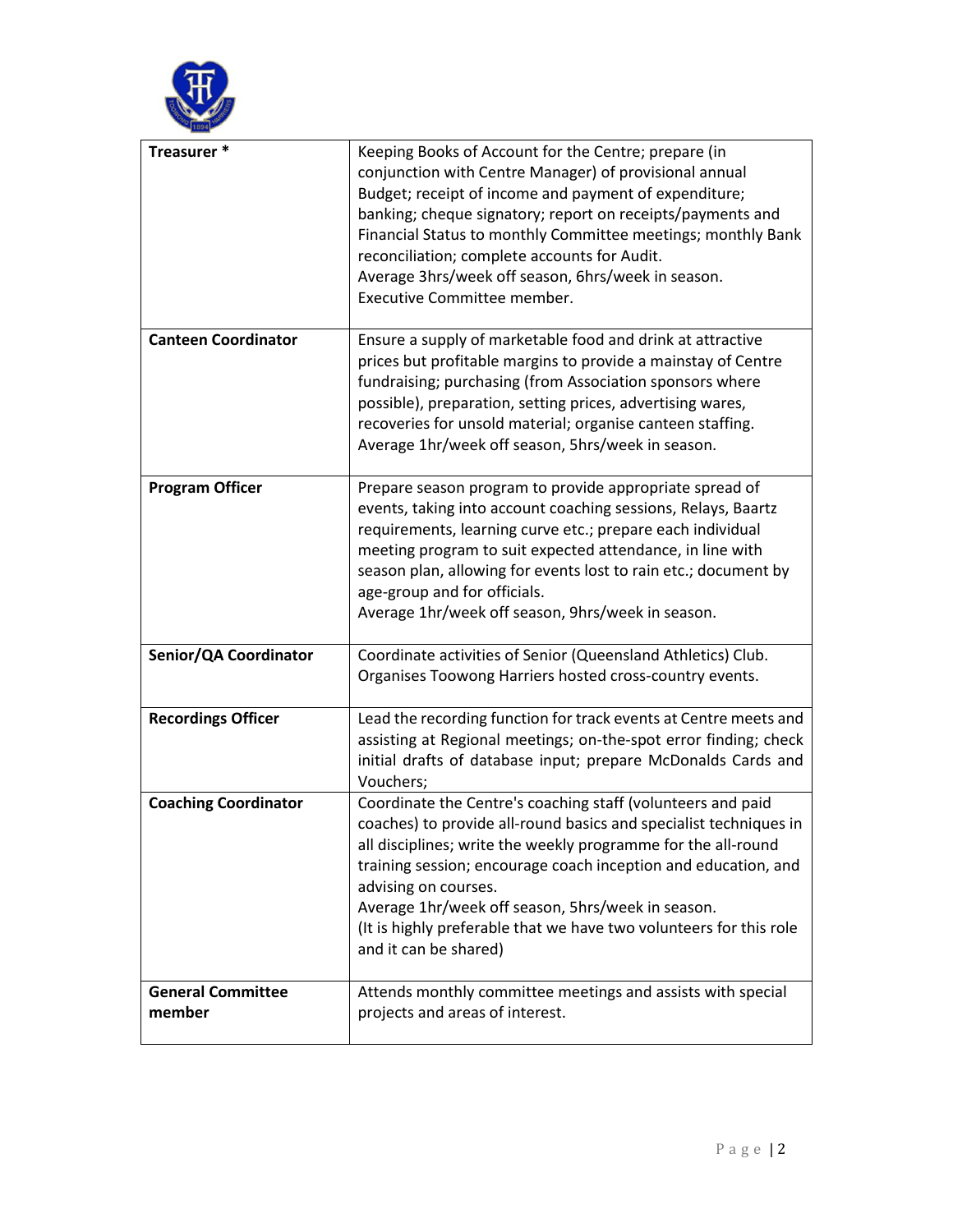

| Treasurer *                        | Keeping Books of Account for the Centre; prepare (in<br>conjunction with Centre Manager) of provisional annual<br>Budget; receipt of income and payment of expenditure;<br>banking; cheque signatory; report on receipts/payments and<br>Financial Status to monthly Committee meetings; monthly Bank<br>reconciliation; complete accounts for Audit.<br>Average 3hrs/week off season, 6hrs/week in season.<br>Executive Committee member.      |
|------------------------------------|-------------------------------------------------------------------------------------------------------------------------------------------------------------------------------------------------------------------------------------------------------------------------------------------------------------------------------------------------------------------------------------------------------------------------------------------------|
| <b>Canteen Coordinator</b>         | Ensure a supply of marketable food and drink at attractive<br>prices but profitable margins to provide a mainstay of Centre<br>fundraising; purchasing (from Association sponsors where<br>possible), preparation, setting prices, advertising wares,<br>recoveries for unsold material; organise canteen staffing.<br>Average 1hr/week off season, 5hrs/week in season.                                                                        |
| <b>Program Officer</b>             | Prepare season program to provide appropriate spread of<br>events, taking into account coaching sessions, Relays, Baartz<br>requirements, learning curve etc.; prepare each individual<br>meeting program to suit expected attendance, in line with<br>season plan, allowing for events lost to rain etc.; document by<br>age-group and for officials.<br>Average 1hr/week off season, 9hrs/week in season.                                     |
| Senior/QA Coordinator              | Coordinate activities of Senior (Queensland Athletics) Club.<br>Organises Toowong Harriers hosted cross-country events.                                                                                                                                                                                                                                                                                                                         |
| <b>Recordings Officer</b>          | Lead the recording function for track events at Centre meets and<br>assisting at Regional meetings; on-the-spot error finding; check<br>initial drafts of database input; prepare McDonalds Cards and<br>Vouchers;                                                                                                                                                                                                                              |
| <b>Coaching Coordinator</b>        | Coordinate the Centre's coaching staff (volunteers and paid<br>coaches) to provide all-round basics and specialist techniques in<br>all disciplines; write the weekly programme for the all-round<br>training session; encourage coach inception and education, and<br>advising on courses.<br>Average 1hr/week off season, 5hrs/week in season.<br>(It is highly preferable that we have two volunteers for this role<br>and it can be shared) |
| <b>General Committee</b><br>member | Attends monthly committee meetings and assists with special<br>projects and areas of interest.                                                                                                                                                                                                                                                                                                                                                  |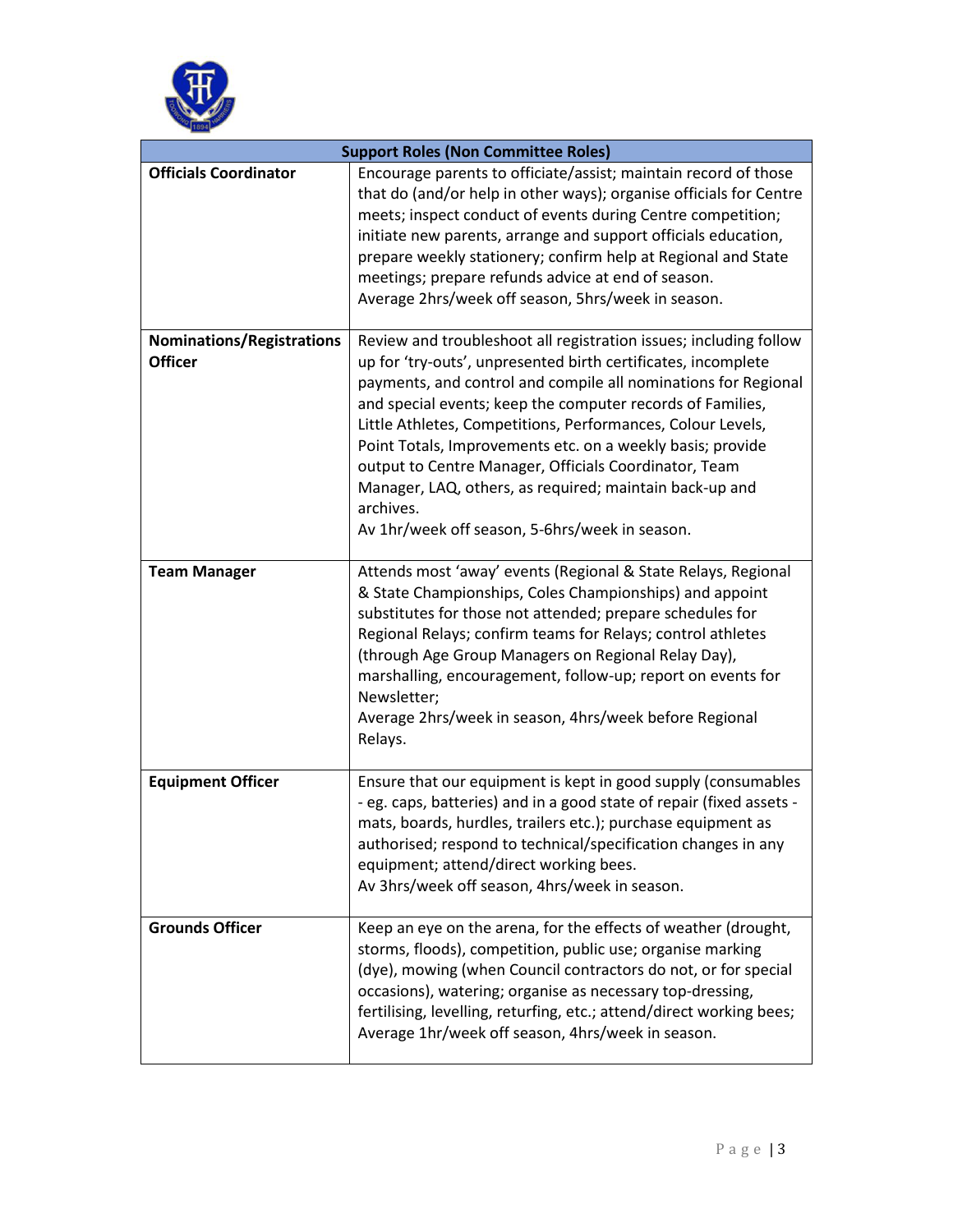

| <b>Support Roles (Non Committee Roles)</b>         |                                                                                                                                                                                                                                                                                                                                                                                                                                                                                                                                                                                    |  |
|----------------------------------------------------|------------------------------------------------------------------------------------------------------------------------------------------------------------------------------------------------------------------------------------------------------------------------------------------------------------------------------------------------------------------------------------------------------------------------------------------------------------------------------------------------------------------------------------------------------------------------------------|--|
| <b>Officials Coordinator</b>                       | Encourage parents to officiate/assist; maintain record of those<br>that do (and/or help in other ways); organise officials for Centre<br>meets; inspect conduct of events during Centre competition;<br>initiate new parents, arrange and support officials education,<br>prepare weekly stationery; confirm help at Regional and State<br>meetings; prepare refunds advice at end of season.<br>Average 2hrs/week off season, 5hrs/week in season.                                                                                                                                |  |
| <b>Nominations/Registrations</b><br><b>Officer</b> | Review and troubleshoot all registration issues; including follow<br>up for 'try-outs', unpresented birth certificates, incomplete<br>payments, and control and compile all nominations for Regional<br>and special events; keep the computer records of Families,<br>Little Athletes, Competitions, Performances, Colour Levels,<br>Point Totals, Improvements etc. on a weekly basis; provide<br>output to Centre Manager, Officials Coordinator, Team<br>Manager, LAQ, others, as required; maintain back-up and<br>archives.<br>Av 1hr/week off season, 5-6hrs/week in season. |  |
| <b>Team Manager</b>                                | Attends most 'away' events (Regional & State Relays, Regional<br>& State Championships, Coles Championships) and appoint<br>substitutes for those not attended; prepare schedules for<br>Regional Relays; confirm teams for Relays; control athletes<br>(through Age Group Managers on Regional Relay Day),<br>marshalling, encouragement, follow-up; report on events for<br>Newsletter;<br>Average 2hrs/week in season, 4hrs/week before Regional<br>Relays.                                                                                                                     |  |
| <b>Equipment Officer</b>                           | Ensure that our equipment is kept in good supply (consumables<br>- eg. caps, batteries) and in a good state of repair (fixed assets -<br>mats, boards, hurdles, trailers etc.); purchase equipment as<br>authorised; respond to technical/specification changes in any<br>equipment; attend/direct working bees.<br>Av 3hrs/week off season, 4hrs/week in season.                                                                                                                                                                                                                  |  |
| <b>Grounds Officer</b>                             | Keep an eye on the arena, for the effects of weather (drought,<br>storms, floods), competition, public use; organise marking<br>(dye), mowing (when Council contractors do not, or for special<br>occasions), watering; organise as necessary top-dressing,<br>fertilising, levelling, returfing, etc.; attend/direct working bees;<br>Average 1hr/week off season, 4hrs/week in season.                                                                                                                                                                                           |  |